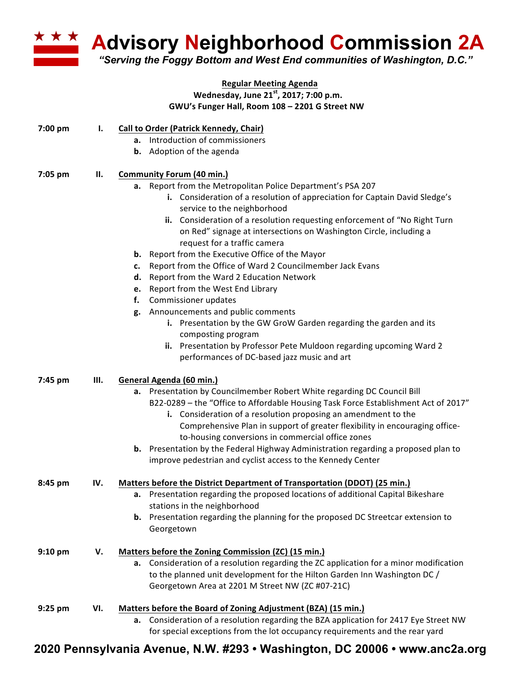

**Advisory Neighborhood Commission 2A** 

*"Serving the Foggy Bottom and West End communities of Washington, D.C."*

## **Regular Meeting Agenda Wednesday, June 21st, 2017; 7:00 p.m. GWU's Funger Hall, Room 108 – 2201 G Street NW**

| 7:00 pm   | I.   | <b>Call to Order (Patrick Kennedy, Chair)</b><br>a. Introduction of commissioners                                                                                                                                                                                                                                                                                                                                                                                                                                                                                                                                                                                                                                                                                                                                                                                                                                    |
|-----------|------|----------------------------------------------------------------------------------------------------------------------------------------------------------------------------------------------------------------------------------------------------------------------------------------------------------------------------------------------------------------------------------------------------------------------------------------------------------------------------------------------------------------------------------------------------------------------------------------------------------------------------------------------------------------------------------------------------------------------------------------------------------------------------------------------------------------------------------------------------------------------------------------------------------------------|
|           |      | <b>b.</b> Adoption of the agenda                                                                                                                                                                                                                                                                                                                                                                                                                                                                                                                                                                                                                                                                                                                                                                                                                                                                                     |
| 7:05 pm   | Ш.   | <b>Community Forum (40 min.)</b><br>a. Report from the Metropolitan Police Department's PSA 207<br>i. Consideration of a resolution of appreciation for Captain David Sledge's<br>service to the neighborhood<br>ii. Consideration of a resolution requesting enforcement of "No Right Turn<br>on Red" signage at intersections on Washington Circle, including a<br>request for a traffic camera<br><b>b.</b> Report from the Executive Office of the Mayor<br>Report from the Office of Ward 2 Councilmember Jack Evans<br>c.<br>Report from the Ward 2 Education Network<br>d.<br>Report from the West End Library<br>е.<br>Commissioner updates<br>f.<br>g. Announcements and public comments<br>i. Presentation by the GW GroW Garden regarding the garden and its<br>composting program<br>ii. Presentation by Professor Pete Muldoon regarding upcoming Ward 2<br>performances of DC-based jazz music and art |
| 7:45 pm   | III. | General Agenda (60 min.)<br>Presentation by Councilmember Robert White regarding DC Council Bill<br>а.<br>B22-0289 - the "Office to Affordable Housing Task Force Establishment Act of 2017"<br>i. Consideration of a resolution proposing an amendment to the<br>Comprehensive Plan in support of greater flexibility in encouraging office-<br>to-housing conversions in commercial office zones<br><b>b.</b> Presentation by the Federal Highway Administration regarding a proposed plan to<br>improve pedestrian and cyclist access to the Kennedy Center                                                                                                                                                                                                                                                                                                                                                       |
| $8:45$ pm | IV.  | Matters before the District Department of Transportation (DDOT) (25 min.)<br>a. Presentation regarding the proposed locations of additional Capital Bikeshare<br>stations in the neighborhood<br><b>b.</b> Presentation regarding the planning for the proposed DC Streetcar extension to<br>Georgetown                                                                                                                                                                                                                                                                                                                                                                                                                                                                                                                                                                                                              |
| 9:10 pm   | V.   | Matters before the Zoning Commission (ZC) (15 min.)<br>a. Consideration of a resolution regarding the ZC application for a minor modification<br>to the planned unit development for the Hilton Garden Inn Washington DC /<br>Georgetown Area at 2201 M Street NW (ZC #07-21C)                                                                                                                                                                                                                                                                                                                                                                                                                                                                                                                                                                                                                                       |
| $9:25$ pm | VI.  | Matters before the Board of Zoning Adjustment (BZA) (15 min.)<br>a. Consideration of a resolution regarding the BZA application for 2417 Eye Street NW<br>for special exceptions from the lot occupancy requirements and the rear yard                                                                                                                                                                                                                                                                                                                                                                                                                                                                                                                                                                                                                                                                               |

## **2020 Pennsylvania Avenue, N.W. #293 • Washington, DC 20006 • www.anc2a.org**